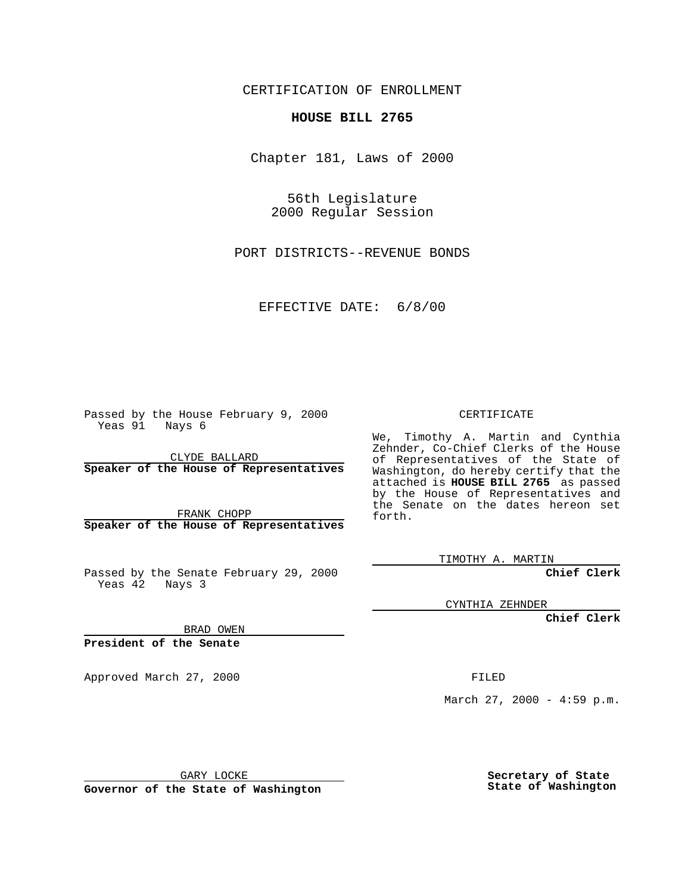CERTIFICATION OF ENROLLMENT

## **HOUSE BILL 2765**

Chapter 181, Laws of 2000

56th Legislature 2000 Regular Session

PORT DISTRICTS--REVENUE BONDS

EFFECTIVE DATE: 6/8/00

Passed by the House February 9, 2000 Yeas 91 Nays 6

CLYDE BALLARD **Speaker of the House of Representatives**

FRANK CHOPP **Speaker of the House of Representatives**

Passed by the Senate February 29, 2000 Yeas 42 Nays 3

CERTIFICATE

We, Timothy A. Martin and Cynthia Zehnder, Co-Chief Clerks of the House of Representatives of the State of Washington, do hereby certify that the attached is **HOUSE BILL 2765** as passed by the House of Representatives and the Senate on the dates hereon set forth.

TIMOTHY A. MARTIN

**Chief Clerk**

CYNTHIA ZEHNDER

**Chief Clerk**

BRAD OWEN

**President of the Senate**

Approved March 27, 2000 FILED

March 27, 2000 - 4:59 p.m.

GARY LOCKE

**Governor of the State of Washington**

**Secretary of State State of Washington**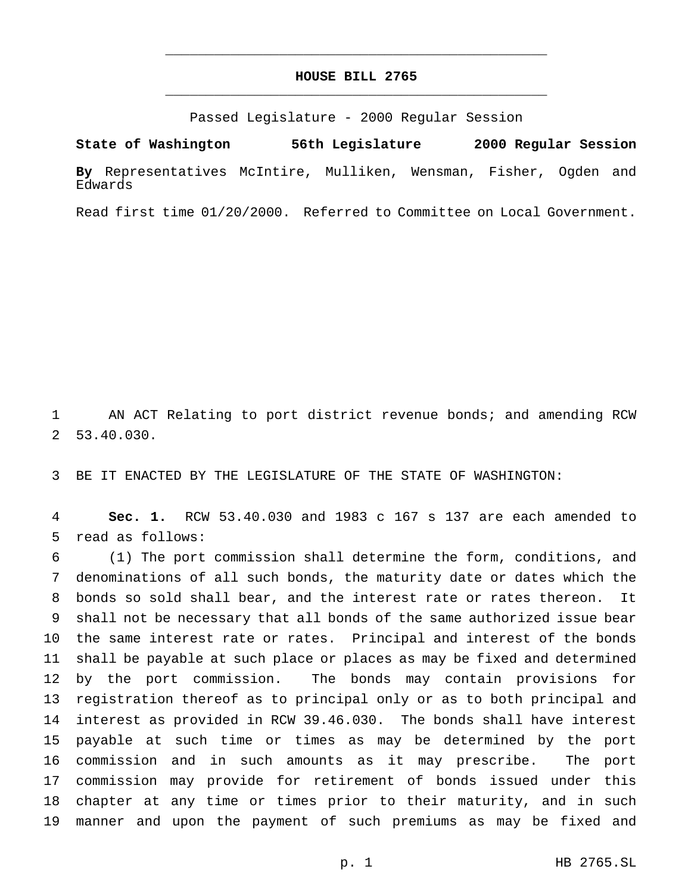## **HOUSE BILL 2765** \_\_\_\_\_\_\_\_\_\_\_\_\_\_\_\_\_\_\_\_\_\_\_\_\_\_\_\_\_\_\_\_\_\_\_\_\_\_\_\_\_\_\_\_\_\_\_

\_\_\_\_\_\_\_\_\_\_\_\_\_\_\_\_\_\_\_\_\_\_\_\_\_\_\_\_\_\_\_\_\_\_\_\_\_\_\_\_\_\_\_\_\_\_\_

Passed Legislature - 2000 Regular Session

**State of Washington 56th Legislature 2000 Regular Session By** Representatives McIntire, Mulliken, Wensman, Fisher, Ogden and Edwards

Read first time 01/20/2000. Referred to Committee on Local Government.

 AN ACT Relating to port district revenue bonds; and amending RCW 53.40.030.

BE IT ENACTED BY THE LEGISLATURE OF THE STATE OF WASHINGTON:

 **Sec. 1.** RCW 53.40.030 and 1983 c 167 s 137 are each amended to read as follows:

 (1) The port commission shall determine the form, conditions, and denominations of all such bonds, the maturity date or dates which the bonds so sold shall bear, and the interest rate or rates thereon. It shall not be necessary that all bonds of the same authorized issue bear the same interest rate or rates. Principal and interest of the bonds shall be payable at such place or places as may be fixed and determined by the port commission. The bonds may contain provisions for registration thereof as to principal only or as to both principal and interest as provided in RCW 39.46.030. The bonds shall have interest payable at such time or times as may be determined by the port commission and in such amounts as it may prescribe. The port commission may provide for retirement of bonds issued under this chapter at any time or times prior to their maturity, and in such manner and upon the payment of such premiums as may be fixed and